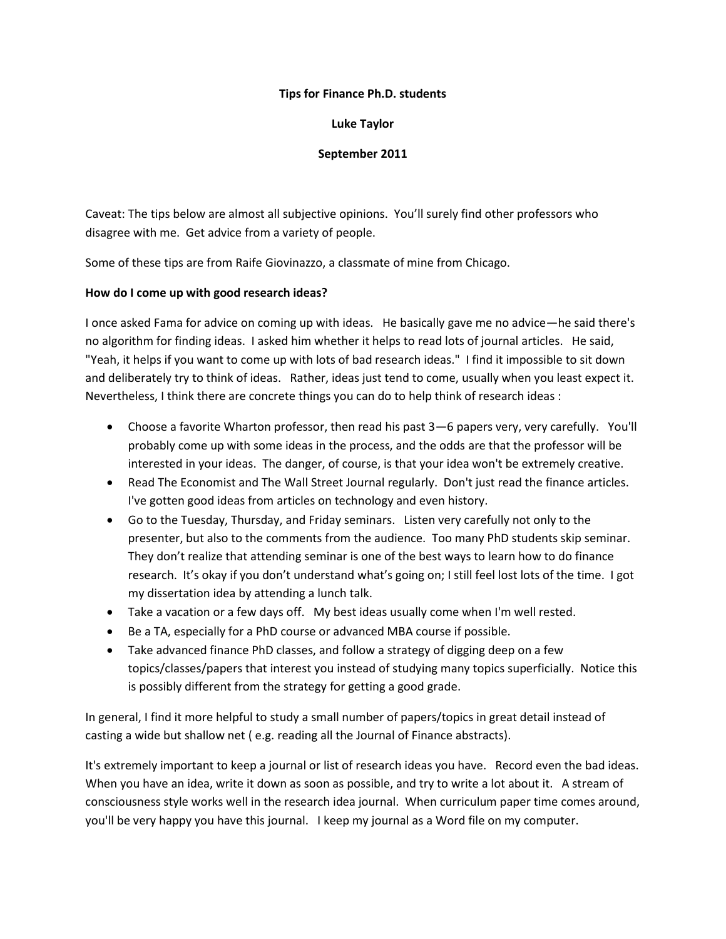#### **Tips for Finance Ph.D. students**

**Luke Taylor**

#### **September 2011**

Caveat: The tips below are almost all subjective opinions. You'll surely find other professors who disagree with me. Get advice from a variety of people.

Some of these tips are from Raife Giovinazzo, a classmate of mine from Chicago.

### **How do I come up with good research ideas?**

I once asked Fama for advice on coming up with ideas. He basically gave me no advice—he said there's no algorithm for finding ideas. I asked him whether it helps to read lots of journal articles. He said, "Yeah, it helps if you want to come up with lots of bad research ideas." I find it impossible to sit down and deliberately try to think of ideas. Rather, ideas just tend to come, usually when you least expect it. Nevertheless, I think there are concrete things you can do to help think of research ideas :

- Choose a favorite Wharton professor, then read his past 3—6 papers very, very carefully. You'll probably come up with some ideas in the process, and the odds are that the professor will be interested in your ideas. The danger, of course, is that your idea won't be extremely creative.
- Read The Economist and The Wall Street Journal regularly. Don't just read the finance articles. I've gotten good ideas from articles on technology and even history.
- Go to the Tuesday, Thursday, and Friday seminars. Listen very carefully not only to the presenter, but also to the comments from the audience. Too many PhD students skip seminar. They don't realize that attending seminar is one of the best ways to learn how to do finance research. It's okay if you don't understand what's going on; I still feel lost lots of the time. I got my dissertation idea by attending a lunch talk.
- Take a vacation or a few days off. My best ideas usually come when I'm well rested.
- Be a TA, especially for a PhD course or advanced MBA course if possible.
- Take advanced finance PhD classes, and follow a strategy of digging deep on a few topics/classes/papers that interest you instead of studying many topics superficially. Notice this is possibly different from the strategy for getting a good grade.

In general, I find it more helpful to study a small number of papers/topics in great detail instead of casting a wide but shallow net ( e.g. reading all the Journal of Finance abstracts).

It's extremely important to keep a journal or list of research ideas you have. Record even the bad ideas. When you have an idea, write it down as soon as possible, and try to write a lot about it. A stream of consciousness style works well in the research idea journal. When curriculum paper time comes around, you'll be very happy you have this journal. I keep my journal as a Word file on my computer.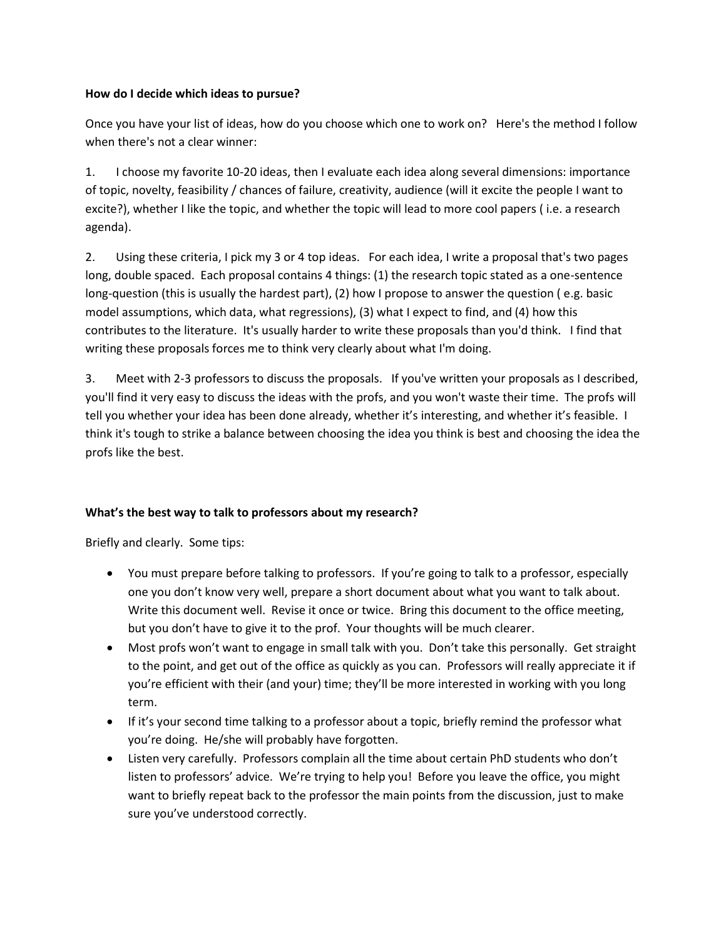### **How do I decide which ideas to pursue?**

Once you have your list of ideas, how do you choose which one to work on? Here's the method I follow when there's not a clear winner:

1. I choose my favorite 10-20 ideas, then I evaluate each idea along several dimensions: importance of topic, novelty, feasibility / chances of failure, creativity, audience (will it excite the people I want to excite?), whether I like the topic, and whether the topic will lead to more cool papers ( i.e. a research agenda).

2. Using these criteria, I pick my 3 or 4 top ideas. For each idea, I write a proposal that's two pages long, double spaced. Each proposal contains 4 things: (1) the research topic stated as a one-sentence long-question (this is usually the hardest part), (2) how I propose to answer the question ( e.g. basic model assumptions, which data, what regressions), (3) what I expect to find, and (4) how this contributes to the literature. It's usually harder to write these proposals than you'd think. I find that writing these proposals forces me to think very clearly about what I'm doing.

3. Meet with 2-3 professors to discuss the proposals. If you've written your proposals as I described, you'll find it very easy to discuss the ideas with the profs, and you won't waste their time. The profs will tell you whether your idea has been done already, whether it's interesting, and whether it's feasible. I think it's tough to strike a balance between choosing the idea you think is best and choosing the idea the profs like the best.

# **What's the best way to talk to professors about my research?**

Briefly and clearly. Some tips:

- You must prepare before talking to professors. If you're going to talk to a professor, especially one you don't know very well, prepare a short document about what you want to talk about. Write this document well. Revise it once or twice. Bring this document to the office meeting, but you don't have to give it to the prof. Your thoughts will be much clearer.
- Most profs won't want to engage in small talk with you. Don't take this personally. Get straight to the point, and get out of the office as quickly as you can. Professors will really appreciate it if you're efficient with their (and your) time; they'll be more interested in working with you long term.
- If it's your second time talking to a professor about a topic, briefly remind the professor what you're doing. He/she will probably have forgotten.
- Listen very carefully. Professors complain all the time about certain PhD students who don't listen to professors' advice. We're trying to help you! Before you leave the office, you might want to briefly repeat back to the professor the main points from the discussion, just to make sure you've understood correctly.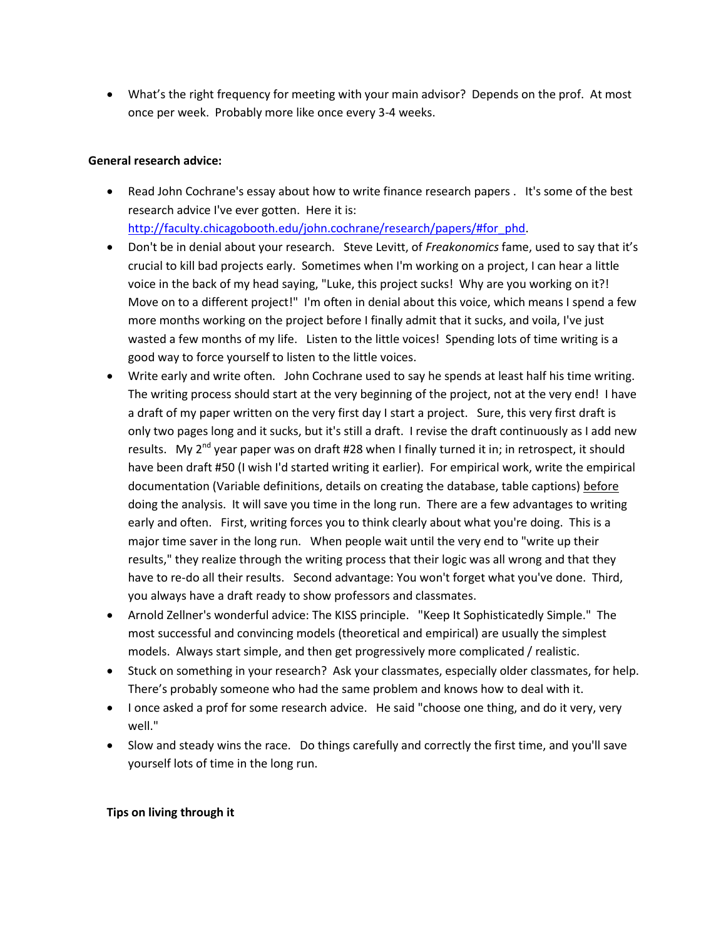What's the right frequency for meeting with your main advisor? Depends on the prof. At most once per week. Probably more like once every 3-4 weeks.

### **General research advice:**

- Read John Cochrane's essay about how to write finance research papers . It's some of the best research advice I've ever gotten. Here it is: [http://faculty.chicagobooth.edu/john.cochrane/research/papers/#for\\_phd.](http://faculty.chicagobooth.edu/john.cochrane/research/papers/#for_phd)
- Don't be in denial about your research. Steve Levitt, of *Freakonomics* fame, used to say that it's crucial to kill bad projects early. Sometimes when I'm working on a project, I can hear a little voice in the back of my head saying, "Luke, this project sucks! Why are you working on it?! Move on to a different project!" I'm often in denial about this voice, which means I spend a few more months working on the project before I finally admit that it sucks, and voila, I've just wasted a few months of my life. Listen to the little voices! Spending lots of time writing is a good way to force yourself to listen to the little voices.
- Write early and write often. John Cochrane used to say he spends at least half his time writing. The writing process should start at the very beginning of the project, not at the very end! I have a draft of my paper written on the very first day I start a project. Sure, this very first draft is only two pages long and it sucks, but it's still a draft. I revise the draft continuously as I add new results. My 2<sup>nd</sup> year paper was on draft #28 when I finally turned it in; in retrospect, it should have been draft #50 (I wish I'd started writing it earlier). For empirical work, write the empirical documentation (Variable definitions, details on creating the database, table captions) before doing the analysis. It will save you time in the long run. There are a few advantages to writing early and often. First, writing forces you to think clearly about what you're doing. This is a major time saver in the long run. When people wait until the very end to "write up their results," they realize through the writing process that their logic was all wrong and that they have to re-do all their results. Second advantage: You won't forget what you've done. Third, you always have a draft ready to show professors and classmates.
- Arnold Zellner's wonderful advice: The KISS principle. "Keep It Sophisticatedly Simple." The most successful and convincing models (theoretical and empirical) are usually the simplest models. Always start simple, and then get progressively more complicated / realistic.
- Stuck on something in your research? Ask your classmates, especially older classmates, for help. There's probably someone who had the same problem and knows how to deal with it.
- I once asked a prof for some research advice. He said "choose one thing, and do it very, very well."
- Slow and steady wins the race. Do things carefully and correctly the first time, and you'll save yourself lots of time in the long run.

# **Tips on living through it**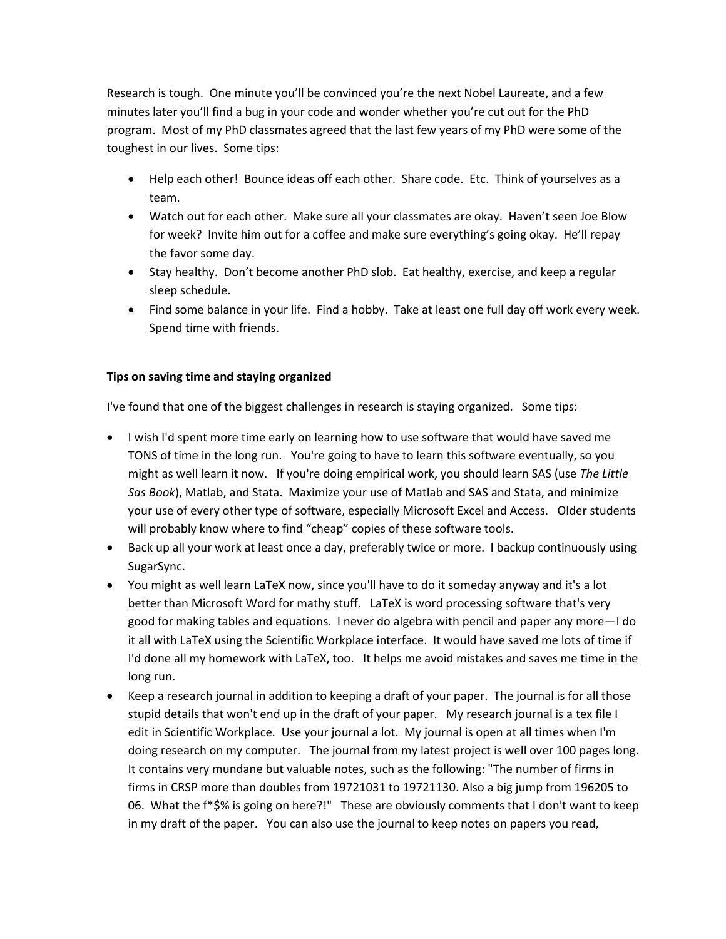Research is tough. One minute you'll be convinced you're the next Nobel Laureate, and a few minutes later you'll find a bug in your code and wonder whether you're cut out for the PhD program. Most of my PhD classmates agreed that the last few years of my PhD were some of the toughest in our lives. Some tips:

- Help each other! Bounce ideas off each other. Share code. Etc. Think of yourselves as a team.
- Watch out for each other. Make sure all your classmates are okay. Haven't seen Joe Blow for week? Invite him out for a coffee and make sure everything's going okay. He'll repay the favor some day.
- Stay healthy. Don't become another PhD slob. Eat healthy, exercise, and keep a regular sleep schedule.
- Find some balance in your life. Find a hobby. Take at least one full day off work every week. Spend time with friends.

### **Tips on saving time and staying organized**

I've found that one of the biggest challenges in research is staying organized. Some tips:

- I wish I'd spent more time early on learning how to use software that would have saved me TONS of time in the long run. You're going to have to learn this software eventually, so you might as well learn it now. If you're doing empirical work, you should learn SAS (use *The Little Sas Book*), Matlab, and Stata. Maximize your use of Matlab and SAS and Stata, and minimize your use of every other type of software, especially Microsoft Excel and Access. Older students will probably know where to find "cheap" copies of these software tools.
- Back up all your work at least once a day, preferably twice or more. I backup continuously using SugarSync.
- You might as well learn LaTeX now, since you'll have to do it someday anyway and it's a lot better than Microsoft Word for mathy stuff. LaTeX is word processing software that's very good for making tables and equations. I never do algebra with pencil and paper any more—I do it all with LaTeX using the Scientific Workplace interface. It would have saved me lots of time if I'd done all my homework with LaTeX, too. It helps me avoid mistakes and saves me time in the long run.
- Keep a research journal in addition to keeping a draft of your paper. The journal is for all those stupid details that won't end up in the draft of your paper. My research journal is a tex file I edit in Scientific Workplace. Use your journal a lot. My journal is open at all times when I'm doing research on my computer. The journal from my latest project is well over 100 pages long. It contains very mundane but valuable notes, such as the following: "The number of firms in firms in CRSP more than doubles from 19721031 to 19721130. Also a big jump from 196205 to 06. What the f\*\$% is going on here?!" These are obviously comments that I don't want to keep in my draft of the paper. You can also use the journal to keep notes on papers you read,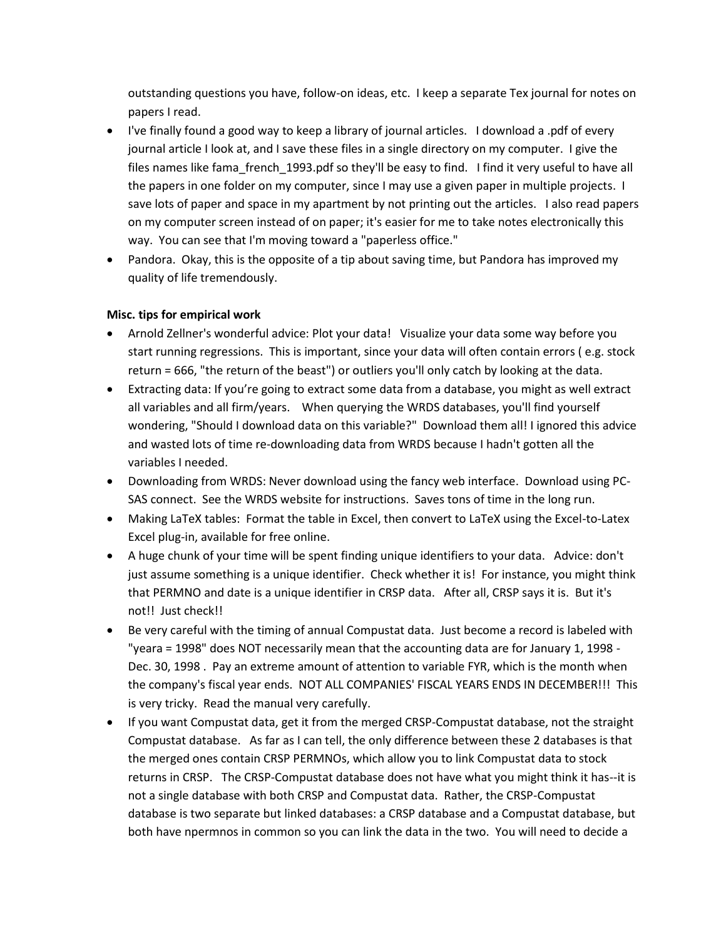outstanding questions you have, follow-on ideas, etc. I keep a separate Tex journal for notes on papers I read.

- I've finally found a good way to keep a library of journal articles. I download a .pdf of every journal article I look at, and I save these files in a single directory on my computer. I give the files names like fama\_french\_1993.pdf so they'll be easy to find. I find it very useful to have all the papers in one folder on my computer, since I may use a given paper in multiple projects. I save lots of paper and space in my apartment by not printing out the articles. I also read papers on my computer screen instead of on paper; it's easier for me to take notes electronically this way. You can see that I'm moving toward a "paperless office."
- Pandora. Okay, this is the opposite of a tip about saving time, but Pandora has improved my quality of life tremendously.

# **Misc. tips for empirical work**

- Arnold Zellner's wonderful advice: Plot your data! Visualize your data some way before you start running regressions. This is important, since your data will often contain errors ( e.g. stock return = 666, "the return of the beast") or outliers you'll only catch by looking at the data.
- Extracting data: If you're going to extract some data from a database, you might as well extract all variables and all firm/years. When querying the WRDS databases, you'll find yourself wondering, "Should I download data on this variable?" Download them all! I ignored this advice and wasted lots of time re-downloading data from WRDS because I hadn't gotten all the variables I needed.
- Downloading from WRDS: Never download using the fancy web interface. Download using PC-SAS connect. See the WRDS website for instructions. Saves tons of time in the long run.
- Making LaTeX tables: Format the table in Excel, then convert to LaTeX using the Excel-to-Latex Excel plug-in, available for free online.
- A huge chunk of your time will be spent finding unique identifiers to your data. Advice: don't just assume something is a unique identifier. Check whether it is! For instance, you might think that PERMNO and date is a unique identifier in CRSP data. After all, CRSP says it is. But it's not!! Just check!!
- Be very careful with the timing of annual Compustat data. Just become a record is labeled with "yeara = 1998" does NOT necessarily mean that the accounting data are for January 1, 1998 - Dec. 30, 1998 . Pay an extreme amount of attention to variable FYR, which is the month when the company's fiscal year ends. NOT ALL COMPANIES' FISCAL YEARS ENDS IN DECEMBER!!! This is very tricky. Read the manual very carefully.
- If you want Compustat data, get it from the merged CRSP-Compustat database, not the straight Compustat database. As far as I can tell, the only difference between these 2 databases is that the merged ones contain CRSP PERMNOs, which allow you to link Compustat data to stock returns in CRSP. The CRSP-Compustat database does not have what you might think it has--it is not a single database with both CRSP and Compustat data. Rather, the CRSP-Compustat database is two separate but linked databases: a CRSP database and a Compustat database, but both have npermnos in common so you can link the data in the two. You will need to decide a